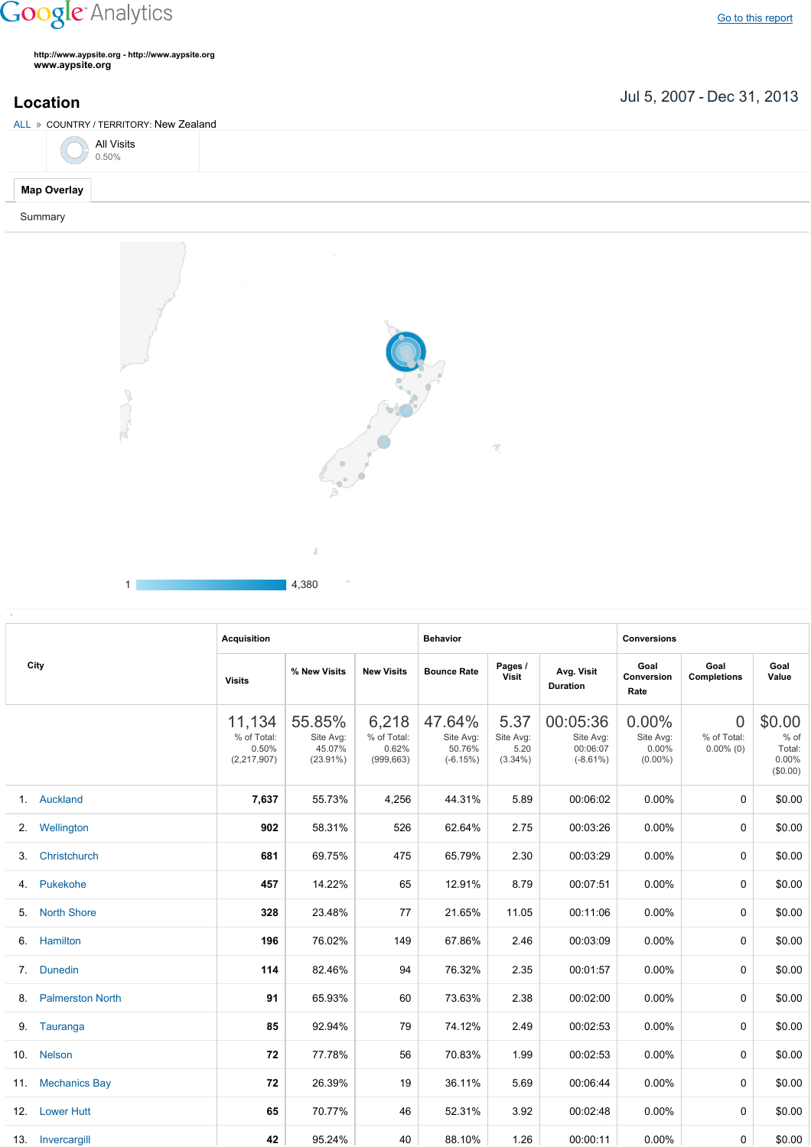## **Google** Analytics

**http://www.aypsite.org http://www.aypsite.org www.aypsite.org**

 $E_{\text{max}}$ 

**Location** Jul 5, 2007 - Dec 31, 2013

| ALL » COUNTRY / TERRITORY: New Zealand |                            |        |              |  |  |  |  |
|----------------------------------------|----------------------------|--------|--------------|--|--|--|--|
|                                        | <b>All Visits</b><br>0.50% |        |              |  |  |  |  |
| <b>Map Overlay</b>                     |                            |        |              |  |  |  |  |
| Summary                                |                            |        |              |  |  |  |  |
|                                        |                            |        | <b>State</b> |  |  |  |  |
|                                        |                            | $\sim$ |              |  |  |  |  |



1 4,380

|     |                         | <b>Acquisition</b>                            |                                              |                                             | <b>Behavior</b>                             |                                         |                                                  | <b>Conversions</b>                           |                                               |                                                    |
|-----|-------------------------|-----------------------------------------------|----------------------------------------------|---------------------------------------------|---------------------------------------------|-----------------------------------------|--------------------------------------------------|----------------------------------------------|-----------------------------------------------|----------------------------------------------------|
|     | City                    | <b>Visits</b>                                 | % New Visits                                 | <b>New Visits</b>                           | <b>Bounce Rate</b>                          | Pages /<br>Visit                        | Avg. Visit<br><b>Duration</b>                    | Goal<br>Conversion<br>Rate                   | Goal<br><b>Completions</b>                    | Goal<br>Value                                      |
|     |                         | 11,134<br>% of Total:<br>0.50%<br>(2,217,907) | 55.85%<br>Site Avg:<br>45.07%<br>$(23.91\%)$ | 6,218<br>% of Total:<br>0.62%<br>(999, 663) | 47.64%<br>Site Avg:<br>50.76%<br>$(-6.15%)$ | 5.37<br>Site Avg:<br>5.20<br>$(3.34\%)$ | 00:05:36<br>Site Avg:<br>00:06:07<br>$(-8.61\%)$ | $0.00\%$<br>Site Avg:<br>0.00%<br>$(0.00\%)$ | $\overline{0}$<br>% of Total:<br>$0.00\%$ (0) | \$0.00<br>$%$ of<br>Total:<br>$0.00\%$<br>(\$0.00) |
|     | 1. Auckland             | 7,637                                         | 55.73%                                       | 4,256                                       | 44.31%                                      | 5.89                                    | 00:06:02                                         | 0.00%                                        | 0                                             | \$0.00                                             |
| 2.  | Wellington              | 902                                           | 58.31%                                       | 526                                         | 62.64%                                      | 2.75                                    | 00:03:26                                         | 0.00%                                        | 0                                             | \$0.00                                             |
| 3.  | Christchurch            | 681                                           | 69.75%                                       | 475                                         | 65.79%                                      | 2.30                                    | 00:03:29                                         | 0.00%                                        | 0                                             | \$0.00                                             |
| 4.  | Pukekohe                | 457                                           | 14.22%                                       | 65                                          | 12.91%                                      | 8.79                                    | 00:07:51                                         | 0.00%                                        | 0                                             | \$0.00                                             |
| 5.  | <b>North Shore</b>      | 328                                           | 23.48%                                       | 77                                          | 21.65%                                      | 11.05                                   | 00:11:06                                         | 0.00%                                        | $\Omega$                                      | \$0.00                                             |
| 6.  | Hamilton                | 196                                           | 76.02%                                       | 149                                         | 67.86%                                      | 2.46                                    | 00:03:09                                         | $0.00\%$                                     | 0                                             | \$0.00                                             |
| 7.  | <b>Dunedin</b>          | 114                                           | 82.46%                                       | 94                                          | 76.32%                                      | 2.35                                    | 00:01:57                                         | $0.00\%$                                     | 0                                             | \$0.00                                             |
| 8.  | <b>Palmerston North</b> | 91                                            | 65.93%                                       | 60                                          | 73.63%                                      | 2.38                                    | 00:02:00                                         | $0.00\%$                                     | 0                                             | \$0.00                                             |
|     | 9. Tauranga             | 85                                            | 92.94%                                       | 79                                          | 74.12%                                      | 2.49                                    | 00:02:53                                         | 0.00%                                        | 0                                             | \$0.00                                             |
| 10. | <b>Nelson</b>           | 72                                            | 77.78%                                       | 56                                          | 70.83%                                      | 1.99                                    | 00:02:53                                         | $0.00\%$                                     | 0                                             | \$0.00                                             |
|     | 11. Mechanics Bay       | 72                                            | 26.39%                                       | 19                                          | 36.11%                                      | 5.69                                    | 00:06:44                                         | $0.00\%$                                     | 0                                             | \$0.00                                             |
|     | 12. Lower Hutt          | 65                                            | 70.77%                                       | 46                                          | 52.31%                                      | 3.92                                    | 00:02:48                                         | $0.00\%$                                     | 0                                             | \$0.00                                             |
|     | 13. Invercargill        | 42                                            | 95.24%                                       | 40                                          | 88.10%                                      | 1.26                                    | 00:00:11                                         | 0.00%                                        | 0                                             | \$0.00                                             |